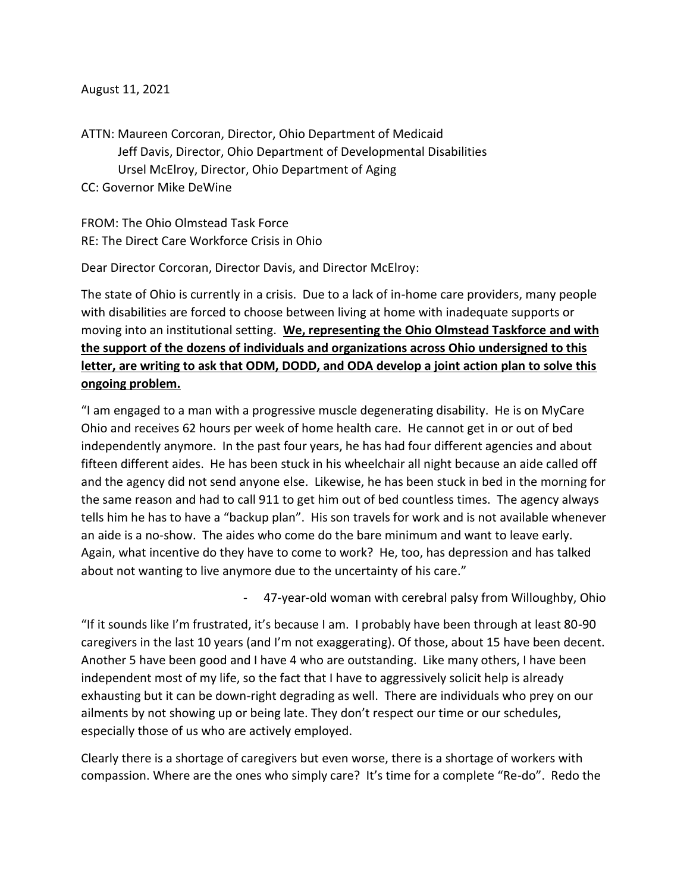#### August 11, 2021

ATTN: Maureen Corcoran, Director, Ohio Department of Medicaid Jeff Davis, Director, Ohio Department of Developmental Disabilities Ursel McElroy, Director, Ohio Department of Aging CC: Governor Mike DeWine

FROM: The Ohio Olmstead Task Force RE: The Direct Care Workforce Crisis in Ohio

Dear Director Corcoran, Director Davis, and Director McElroy:

The state of Ohio is currently in a crisis. Due to a lack of in-home care providers, many people with disabilities are forced to choose between living at home with inadequate supports or moving into an institutional setting. **We, representing the Ohio Olmstead Taskforce and with the support of the dozens of individuals and organizations across Ohio undersigned to this letter, are writing to ask that ODM, DODD, and ODA develop a joint action plan to solve this ongoing problem.**

"I am engaged to a man with a progressive muscle degenerating disability. He is on MyCare Ohio and receives 62 hours per week of home health care. He cannot get in or out of bed independently anymore. In the past four years, he has had four different agencies and about fifteen different aides. He has been stuck in his wheelchair all night because an aide called off and the agency did not send anyone else. Likewise, he has been stuck in bed in the morning for the same reason and had to call 911 to get him out of bed countless times. The agency always tells him he has to have a "backup plan". His son travels for work and is not available whenever an aide is a no-show. The aides who come do the bare minimum and want to leave early. Again, what incentive do they have to come to work? He, too, has depression and has talked about not wanting to live anymore due to the uncertainty of his care."

- 47-year-old woman with cerebral palsy from Willoughby, Ohio

"If it sounds like I'm frustrated, it's because I am. I probably have been through at least 80-90 caregivers in the last 10 years (and I'm not exaggerating). Of those, about 15 have been decent. Another 5 have been good and I have 4 who are outstanding. Like many others, I have been independent most of my life, so the fact that I have to aggressively solicit help is already exhausting but it can be down-right degrading as well. There are individuals who prey on our ailments by not showing up or being late. They don't respect our time or our schedules, especially those of us who are actively employed.

Clearly there is a shortage of caregivers but even worse, there is a shortage of workers with compassion. Where are the ones who simply care? It's time for a complete "Re-do". Redo the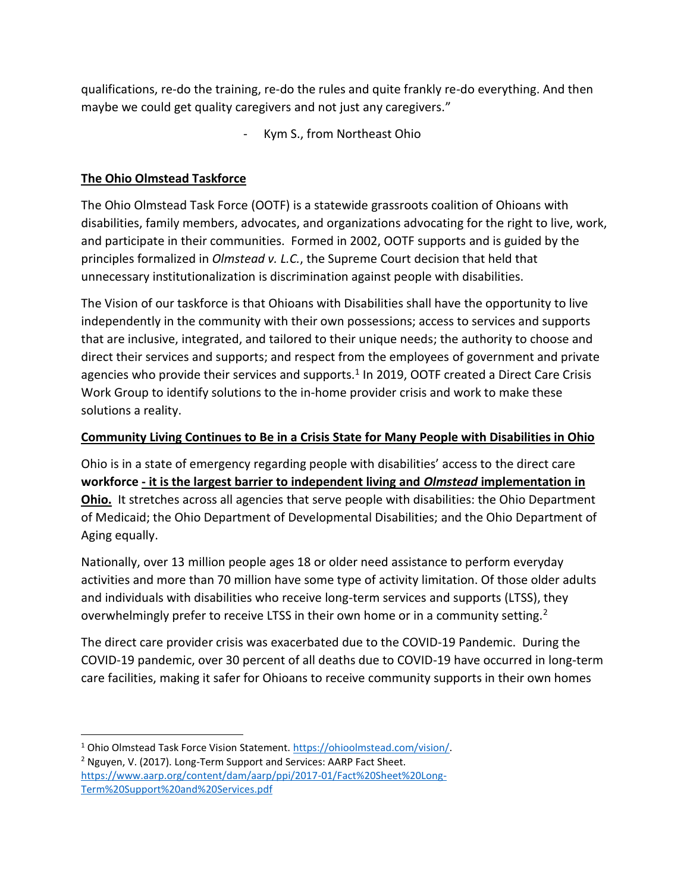qualifications, re-do the training, re-do the rules and quite frankly re-do everything. And then maybe we could get quality caregivers and not just any caregivers."

Kym S., from Northeast Ohio

## **The Ohio Olmstead Taskforce**

The Ohio Olmstead Task Force (OOTF) is a statewide grassroots coalition of Ohioans with disabilities, family members, advocates, and organizations advocating for the right to live, work, and participate in their communities. Formed in 2002, OOTF supports and is guided by the principles formalized in *Olmstead v. L.C.*, the Supreme Court decision that held that unnecessary institutionalization is discrimination against people with disabilities.

The Vision of our taskforce is that Ohioans with Disabilities shall have the opportunity to live independently in the community with their own possessions; access to services and supports that are inclusive, integrated, and tailored to their unique needs; the authority to choose and direct their services and supports; and respect from the employees of government and private agencies who provide their services and supports.<sup>1</sup> In 2019, OOTF created a Direct Care Crisis Work Group to identify solutions to the in-home provider crisis and work to make these solutions a reality.

### **Community Living Continues to Be in a Crisis State for Many People with Disabilities in Ohio**

Ohio is in a state of emergency regarding people with disabilities' access to the direct care **workforce - it is the largest barrier to independent living and** *Olmstead* **implementation in Ohio.** It stretches across all agencies that serve people with disabilities: the Ohio Department of Medicaid; the Ohio Department of Developmental Disabilities; and the Ohio Department of Aging equally.

Nationally, over 13 million people ages 18 or older need assistance to perform everyday activities and more than 70 million have some type of activity limitation. Of those older adults and individuals with disabilities who receive long-term services and supports (LTSS), they overwhelmingly prefer to receive LTSS in their own home or in a community setting.<sup>2</sup>

The direct care provider crisis was exacerbated due to the COVID-19 Pandemic. During the COVID-19 pandemic, over 30 percent of all deaths due to COVID-19 have occurred in long-term care facilities, making it safer for Ohioans to receive community supports in their own homes

l <sup>1</sup> Ohio Olmstead Task Force Vision Statement. [https://ohioolmstead.com/vision/.](https://ohioolmstead.com/vision/)

<sup>2</sup> Nguyen, V. (2017). Long-Term Support and Services: AARP Fact Sheet. [https://www.aarp.org/content/dam/aarp/ppi/2017-01/Fact%20Sheet%20Long-](https://www.aarp.org/content/dam/aarp/ppi/2017-01/Fact%20Sheet%20Long-Term%20Support%20and%20Services.pdf)[Term%20Support%20and%20Services.pdf](https://www.aarp.org/content/dam/aarp/ppi/2017-01/Fact%20Sheet%20Long-Term%20Support%20and%20Services.pdf)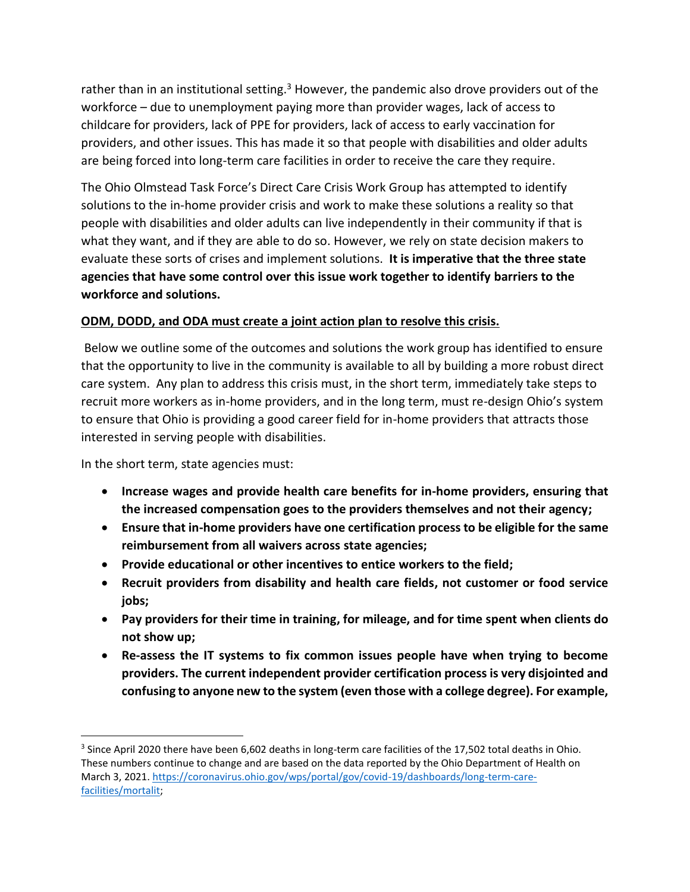rather than in an institutional setting.<sup>3</sup> However, the pandemic also drove providers out of the workforce – due to unemployment paying more than provider wages, lack of access to childcare for providers, lack of PPE for providers, lack of access to early vaccination for providers, and other issues. This has made it so that people with disabilities and older adults are being forced into long-term care facilities in order to receive the care they require.

The Ohio Olmstead Task Force's Direct Care Crisis Work Group has attempted to identify solutions to the in-home provider crisis and work to make these solutions a reality so that people with disabilities and older adults can live independently in their community if that is what they want, and if they are able to do so. However, we rely on state decision makers to evaluate these sorts of crises and implement solutions. **It is imperative that the three state agencies that have some control over this issue work together to identify barriers to the workforce and solutions.**

### **ODM, DODD, and ODA must create a joint action plan to resolve this crisis.**

Below we outline some of the outcomes and solutions the work group has identified to ensure that the opportunity to live in the community is available to all by building a more robust direct care system. Any plan to address this crisis must, in the short term, immediately take steps to recruit more workers as in-home providers, and in the long term, must re-design Ohio's system to ensure that Ohio is providing a good career field for in-home providers that attracts those interested in serving people with disabilities.

In the short term, state agencies must:

 $\overline{\phantom{a}}$ 

- **Increase wages and provide health care benefits for in-home providers, ensuring that the increased compensation goes to the providers themselves and not their agency;**
- **Ensure that in-home providers have one certification process to be eligible for the same reimbursement from all waivers across state agencies;**
- **Provide educational or other incentives to entice workers to the field;**
- **Recruit providers from disability and health care fields, not customer or food service jobs;**
- **Pay providers for their time in training, for mileage, and for time spent when clients do not show up;**
- **Re-assess the IT systems to fix common issues people have when trying to become providers. The current independent provider certification process is very disjointed and confusing to anyone new to the system (even those with a college degree). For example,**

 $3$  Since April 2020 there have been 6,602 deaths in long-term care facilities of the 17,502 total deaths in Ohio. These numbers continue to change and are based on the data reported by the Ohio Department of Health on March 3, 2021[. https://coronavirus.ohio.gov/wps/portal/gov/covid-19/dashboards/long-term-care](https://coronavirus.ohio.gov/wps/portal/gov/covid-19/dashboards/long-term-care-facilities/mortalit)[facilities/mortalit;](https://coronavirus.ohio.gov/wps/portal/gov/covid-19/dashboards/long-term-care-facilities/mortalit)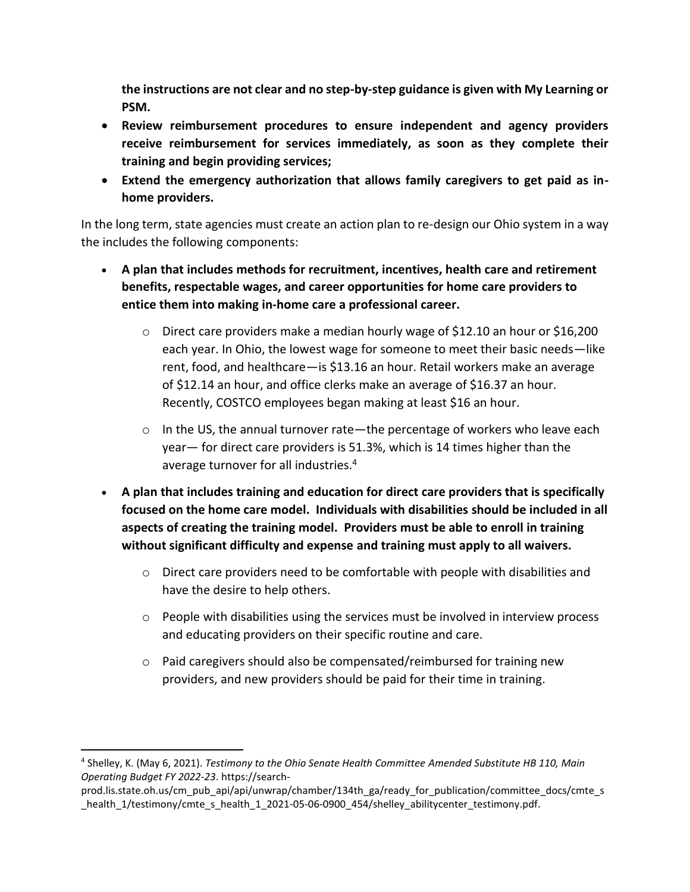**the instructions are not clear and no step-by-step guidance is given with My Learning or PSM.** 

- **Review reimbursement procedures to ensure independent and agency providers receive reimbursement for services immediately, as soon as they complete their training and begin providing services;**
- **Extend the emergency authorization that allows family caregivers to get paid as inhome providers.**

In the long term, state agencies must create an action plan to re-design our Ohio system in a way the includes the following components:

- **A plan that includes methods for recruitment, incentives, health care and retirement benefits, respectable wages, and career opportunities for home care providers to entice them into making in-home care a professional career.**
	- $\circ$  Direct care providers make a median hourly wage of \$12.10 an hour or \$16,200 each year. In Ohio, the lowest wage for someone to meet their basic needs—like rent, food, and healthcare—is \$13.16 an hour. Retail workers make an average of \$12.14 an hour, and office clerks make an average of \$16.37 an hour. Recently, COSTCO employees began making at least \$16 an hour.
	- $\circ$  In the US, the annual turnover rate—the percentage of workers who leave each year— for direct care providers is 51.3%, which is 14 times higher than the average turnover for all industries.<sup>4</sup>
- **A plan that includes training and education for direct care providers that is specifically focused on the home care model. Individuals with disabilities should be included in all aspects of creating the training model. Providers must be able to enroll in training without significant difficulty and expense and training must apply to all waivers.**
	- $\circ$  Direct care providers need to be comfortable with people with disabilities and have the desire to help others.
	- $\circ$  People with disabilities using the services must be involved in interview process and educating providers on their specific routine and care.
	- $\circ$  Paid caregivers should also be compensated/reimbursed for training new providers, and new providers should be paid for their time in training.

 $\overline{a}$ 

<sup>4</sup> Shelley, K. (May 6, 2021). *Testimony to the Ohio Senate Health Committee Amended Substitute HB 110, Main Operating Budget FY 2022-23*. https://search-

prod.lis.state.oh.us/cm\_pub\_api/api/unwrap/chamber/134th\_ga/ready\_for\_publication/committee\_docs/cmte\_s health\_1/testimony/cmte\_s\_health\_1\_2021-05-06-0900\_454/shelley\_abilitycenter\_testimony.pdf.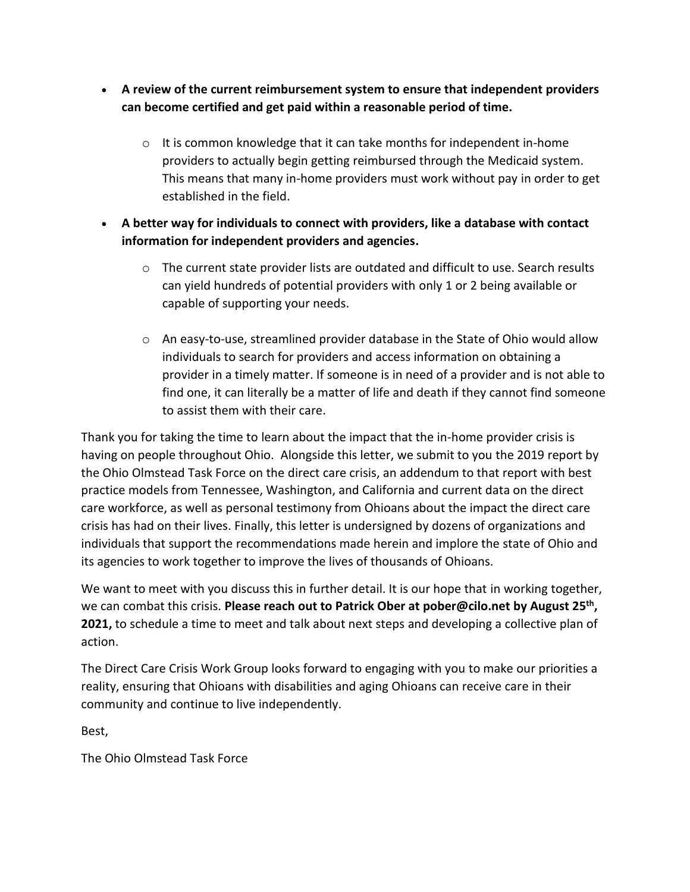- **A review of the current reimbursement system to ensure that independent providers can become certified and get paid within a reasonable period of time.**
	- $\circ$  It is common knowledge that it can take months for independent in-home providers to actually begin getting reimbursed through the Medicaid system. This means that many in-home providers must work without pay in order to get established in the field.
- **A better way for individuals to connect with providers, like a database with contact information for independent providers and agencies.**
	- $\circ$  The current state provider lists are outdated and difficult to use. Search results can yield hundreds of potential providers with only 1 or 2 being available or capable of supporting your needs.
	- $\circ$  An easy-to-use, streamlined provider database in the State of Ohio would allow individuals to search for providers and access information on obtaining a provider in a timely matter. If someone is in need of a provider and is not able to find one, it can literally be a matter of life and death if they cannot find someone to assist them with their care.

Thank you for taking the time to learn about the impact that the in-home provider crisis is having on people throughout Ohio. Alongside this letter, we submit to you the 2019 report by the Ohio Olmstead Task Force on the direct care crisis, an addendum to that report with best practice models from Tennessee, Washington, and California and current data on the direct care workforce, as well as personal testimony from Ohioans about the impact the direct care crisis has had on their lives. Finally, this letter is undersigned by dozens of organizations and individuals that support the recommendations made herein and implore the state of Ohio and its agencies to work together to improve the lives of thousands of Ohioans.

We want to meet with you discuss this in further detail. It is our hope that in working together, we can combat this crisis. **Please reach out to Patrick Ober at pober@cilo.net by August 25 th , 2021,** to schedule a time to meet and talk about next steps and developing a collective plan of action.

The Direct Care Crisis Work Group looks forward to engaging with you to make our priorities a reality, ensuring that Ohioans with disabilities and aging Ohioans can receive care in their community and continue to live independently.

Best,

The Ohio Olmstead Task Force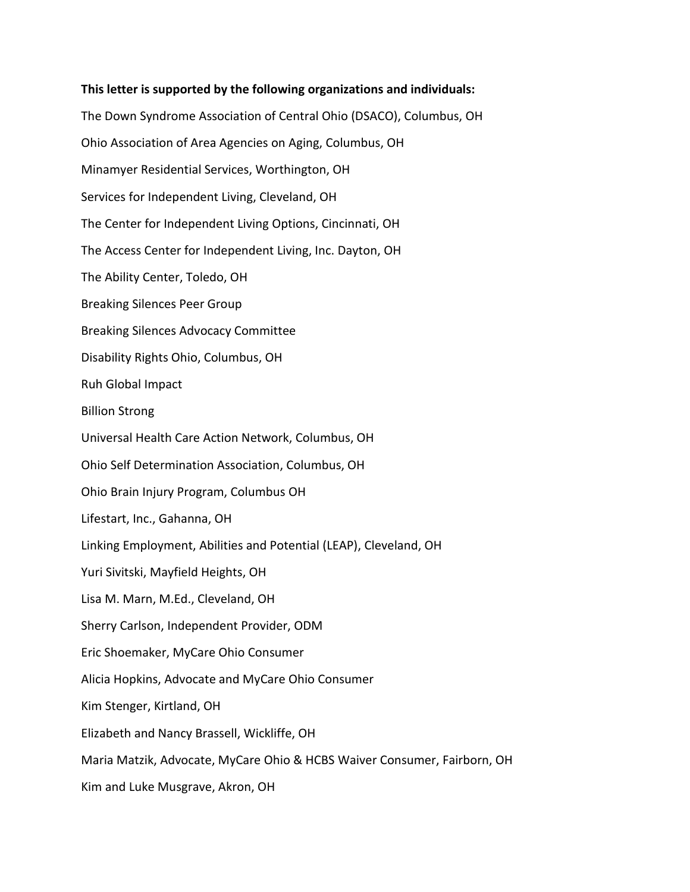# **This letter is supported by the following organizations and individuals:** The Down Syndrome Association of Central Ohio (DSACO), Columbus, OH Ohio Association of Area Agencies on Aging, Columbus, OH Minamyer Residential Services, Worthington, OH Services for Independent Living, Cleveland, OH The Center for Independent Living Options, Cincinnati, OH The Access Center for Independent Living, Inc. Dayton, OH The Ability Center, Toledo, OH Breaking Silences Peer Group Breaking Silences Advocacy Committee Disability Rights Ohio, Columbus, OH Ruh Global Impact Billion Strong Universal Health Care Action Network, Columbus, OH Ohio Self Determination Association, Columbus, OH Ohio Brain Injury Program, Columbus OH Lifestart, Inc., Gahanna, OH Linking Employment, Abilities and Potential (LEAP), Cleveland, OH Yuri Sivitski, Mayfield Heights, OH Lisa M. Marn, M.Ed., Cleveland, OH Sherry Carlson, Independent Provider, ODM Eric Shoemaker, MyCare Ohio Consumer Alicia Hopkins, Advocate and MyCare Ohio Consumer Kim Stenger, Kirtland, OH Elizabeth and Nancy Brassell, Wickliffe, OH Maria Matzik, Advocate, MyCare Ohio & HCBS Waiver Consumer, Fairborn, OH Kim and Luke Musgrave, Akron, OH